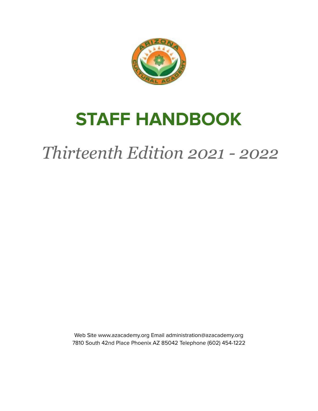

# **STAFF HANDBOOK**

# *Thirteenth Edition 2021 - 2022*

Web Site www.azacademy.org Email administration@azacademy.org 7810 South 42nd Place Phoenix AZ 85042 Telephone (602) 454-1222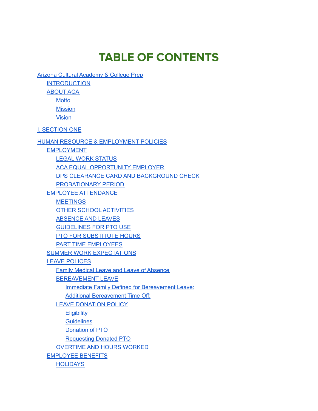# **TABLE OF CONTENTS**

Arizona Cultural [Academy](#page-5-0) & College Prep

**[INTRODUCTION](#page-5-1)** 

[ABOUT](#page-6-0) ACA

**[Motto](#page-6-1)** 

**[Mission](#page-6-2)** 

[Vision](#page-6-3)

I. [SECTION](#page-7-0) ONE

HUMAN RESOURCE & [EMPLOYMENT](#page-7-1) POLICIES

[EMPLOYMENT](#page-8-0)

LEGAL WORK [STATUS](#page-8-1) ACA EQUAL [OPPORTUNITY](#page-8-2) EMPLOYER DPS CLEARANCE CARD AND [BACKGROUND](#page-8-3) CHECK [PROBATIONARY](#page-9-0) PERIOD EMPLOYEE [ATTENDANCE](#page-9-1) **[MEETINGS](#page-10-0)** OTHER SCHOOL [ACTIVITIES](#page-10-1) [ABSENCE](#page-10-2) AND LEAVES [GUIDELINES](#page-10-3) FOR PTO USE PTO FOR [SUBSTITUTE](#page-11-0) HOURS PART TIME [EMPLOYEES](#page-12-0) SUMMER WORK [EXPECTATIONS](#page-12-1) LEAVE [POLICES](#page-15-0) Family Medical Leave and Leave of [Absence](#page-15-1) [BEREAVEMENT](#page-15-2) LEAVE

Immediate Family Defined for [Bereavement](#page-15-3) Leave:

Additional [Bereavement](#page-16-0) Time Off:

LEAVE [DONATION](#page-16-1) POLICY

**[Eligibility](#page-16-2)** 

**[Guidelines](#page-16-3)** 

[Donation](#page-16-4) of PTO

[Requesting](#page-17-0) Donated PTO

[OVERTIME](#page-17-1) AND HOURS WORKED

[EMPLOYEE](#page-17-2) BENEFITS

**[HOLIDAYS](#page-18-0)**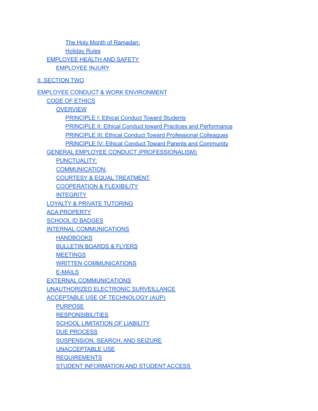The Holy Month of [Ramadan:](#page-18-1) [Holiday](#page-18-2) Rules [EMPLOYEE](#page-19-0) HEALTH AND SAFETY [EMPLOYEE](#page-19-1) INJURY

II. [SECTION](#page-20-0) TWO

EMPLOYEE CONDUCT & WORK [ENVIRONMENT](#page-20-1)

CODE OF [ETHICS](#page-21-0) **[OVERVIEW](#page-21-1)** [PRINCIPLE](#page-21-2) I: Ethical Conduct Toward Students PRINCIPLE II: Ethical Conduct toward Practices and [Performance](#page-21-3) PRINCIPLE III: Ethical Conduct Toward [Professional](#page-22-0) Colleagues **[PRINCIPLE](#page-22-1) IV: Ethical Conduct Toward Parents and Community** GENERAL EMPLOYEE CONDUCT [\(PROFESSIONALISM\)](#page-22-2) [PUNCTUALITY:](#page-23-0) [COMMUNICATION:](#page-23-1) COURTESY & EQUAL [TREATMENT](#page-23-2) [COOPERATION](#page-23-3) & FLEXIBILITY **[INTEGRITY](#page-23-4)** LOYALTY & PRIVATE [TUTORING](#page-24-0) ACA [PROPERTY](#page-24-1) [SCHOOL](#page-25-0) ID BADGES INTERNAL [COMMUNICATIONS](#page-25-1) **[HANDBOOKS](#page-25-2)** [BULLETIN](#page-25-3) BOARDS & FLYERS **[MEETINGS](#page-25-4)** WRITTEN [COMMUNICATIONS](#page-26-0) [E-MAILS](#page-26-1) EXTERNAL [COMMUNICATIONS](#page-26-2) [UNAUTHORIZED](#page-26-3) ELECTRONIC SURVEILLANCE ACCEPTABLE USE OF [TECHNOLOGY](#page-27-0) (AUP) [PURPOSE](#page-27-1) **[RESPONSIBILITIES](#page-27-2)** SCHOOL [LIMITATION](#page-28-0) OF LIABILITY DUE [PROCESS](#page-28-1) [SUSPENSION,](#page-28-2) SEARCH, AND SEIZURE

[UNACCEPTABLE](#page-29-0) USE

[REQUIREMENTS](#page-29-1)

STUDENT [INFORMATION](#page-30-0) AND STUDENT ACCESS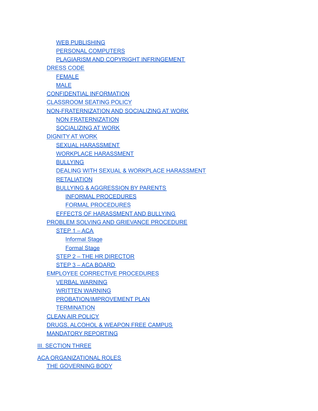WEB [PUBLISHING](#page-30-1) PERSONAL [COMPUTERS](#page-30-2) PLAGIARISM AND COPYRIGHT [INFRINGEMENT](#page-31-0) [DRESS](#page-31-1) CODE [FEMALE](#page-31-2) [MALE](#page-32-0) [CONFIDENTIAL](#page-33-0) INFORMATION [CLASSROOM](#page-33-1) SEATING POLICY [NON-FRATERNIZATION](#page-34-0) AND SOCIALIZING AT WORK NON [FRATERNIZATION](#page-34-1) [SOCIALIZING](#page-34-2) AT WORK [DIGNITY](#page-35-0) AT WORK SEXUAL [HARASSMENT](#page-35-1) WORKPLACE [HARASSMENT](#page-35-2) **[BULLYING](#page-35-3)** DEALING WITH SEXUAL & WORKPLACE [HARASSMENT](#page-36-0) **[RETALIATION](#page-37-0)** BULLYING & [AGGRESSION](#page-38-0) BY PARENTS INFORMAL [PROCEDURES](#page-38-1) FORMAL [PROCEDURES](#page-38-2) EFFECTS OF [HARASSMENT](#page-39-0) AND BULLYING PROBLEM SOLVING AND GRIEVANCE [PROCEDURE](#page-39-1) [STEP](#page-40-0) 1 – ACA [Informal](#page-40-1) Stage [Formal](#page-40-2) Stage STEP 2 – THE HR [DIRECTOR](#page-40-3) STEP 3 – ACA [BOARD](#page-40-4) EMPLOYEE CORRECTIVE [PROCEDURES](#page-41-0) VERBAL [WARNING](#page-41-1) WRITTEN [WARNING](#page-41-2) [PROBATION/IMPROVEMENT](#page-41-3) PLAN **[TERMINATION](#page-41-4)** CLEAN AIR [POLICY](#page-42-0) DRUGS, [ALCOHOL](#page-43-0) & WEAPON FREE CAMPUS [MANDATORY](#page-43-1) REPORTING III. [SECTION](#page-45-0) THREE ACA [ORGANIZATIONAL](#page-45-1) ROLES

THE [GOVERNING](#page-46-0) BODY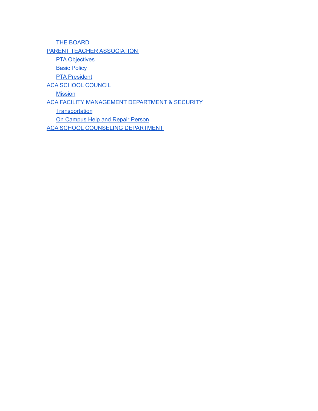THE [BOARD](#page-46-1) PARENT TEACHER [ASSOCIATION](#page-46-2) **PTA [Objectives](#page-46-3) Basic [Policy](#page-46-4) PTA [President](#page-47-0)** ACA SCHOOL [COUNCIL](#page-47-1) **[Mission](#page-47-2)** ACA FACILITY [MANAGEMENT](#page-48-0) DEPARTMENT & SECURITY **[Transportation](#page-49-0)** On [Campus](#page-49-1) Help and Repair Person ACA SCHOOL COUNSELING [DEPARTMENT](#page-49-2)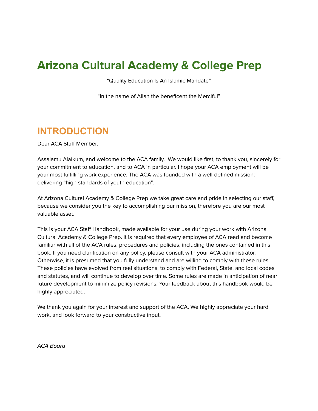# <span id="page-5-0"></span>**Arizona Cultural Academy & College Prep**

"Quality Education Is An Islamic Mandate"

"In the name of Allah the beneficent the Merciful"

# <span id="page-5-1"></span>**INTRODUCTION**

Dear ACA Staff Member,

Assalamu Alaikum, and welcome to the ACA family. We would like first, to thank you, sincerely for your commitment to education, and to ACA in particular. I hope your ACA employment will be your most fulfilling work experience. The ACA was founded with a well-defined mission: delivering "high standards of youth education".

At Arizona Cultural Academy & College Prep we take great care and pride in selecting our staff, because we consider you the key to accomplishing our mission, therefore you are our most valuable asset.

This is your ACA Staff Handbook, made available for your use during your work with Arizona Cultural Academy & College Prep. It is required that every employee of ACA read and become familiar with all of the ACA rules, procedures and policies, including the ones contained in this book. If you need clarification on any policy, please consult with your ACA administrator. Otherwise, it is presumed that you fully understand and are willing to comply with these rules. These policies have evolved from real situations, to comply with Federal, State, and local codes and statutes, and will continue to develop over time. Some rules are made in anticipation of near future development to minimize policy revisions. Your feedback about this handbook would be highly appreciated.

We thank you again for your interest and support of the ACA. We highly appreciate your hard work, and look forward to your constructive input.

ACA Board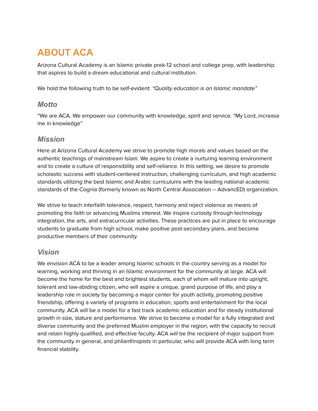# <span id="page-6-0"></span>**ABOUT ACA**

Arizona Cultural Academy is an Islamic private prek-12 school and college prep, with leadership that aspires to build a dream educational and cultural institution.

<span id="page-6-1"></span>We hold the following truth to be self-evident: "Quality education is an Islamic mandate"

#### *Motto*

"We are ACA. We empower our community with knowledge, spirit and service. "My Lord, increase me in knowledge"

#### <span id="page-6-2"></span>*Mission*

Here at Arizona Cultural Academy we strive to promote high morals and values based on the authentic teachings of mainstream Islam. We aspire to create a nurturing learning environment and to create a culture of responsibility and self-reliance. In this setting, we desire to promote scholastic success with student-centered instruction, challenging curriculum, and high academic standards utilizing the best Islamic and Arabic curriculums with the leading national academic standards of the Cognia (formerly known as North Central Association – AdvancED) organization.

We strive to teach interfaith tolerance, respect, harmony and reject violence as means of promoting the faith or advancing Muslims interest. We inspire curiosity through technology integration, the arts, and extracurricular activities. These practices are put in place to encourage students to graduate from high school, make positive post-secondary plans, and become productive members of their community.

#### <span id="page-6-3"></span>*Vision*

We envision ACA to be a leader among Islamic schools in the country serving as a model for learning, working and thriving in an Islamic environment for the community at large. ACA will become the home for the best and brightest students, each of whom will mature into upright, tolerant and law-abiding citizen, who will aspire a unique, grand purpose of life, and play a leadership role in society by becoming a major center for youth activity, promoting positive friendship, offering a variety of programs in education, sports and entertainment for the local community. ACA will be a model for a fast track academic education and for steady institutional growth in size, stature and performance. We strive to become a model for a fully integrated and diverse community and the preferred Muslim employer in the region, with the capacity to recruit and retain highly qualified, and effective faculty. ACA will be the recipient of major support from the community in general, and philanthropists in particular, who will provide ACA with long term financial stability.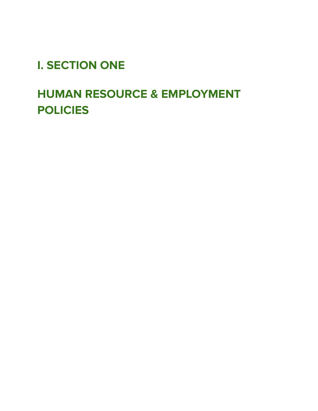# <span id="page-7-0"></span>**I. SECTION ONE**

# <span id="page-7-1"></span>**HUMAN RESOURCE & EMPLOYMENT POLICIES**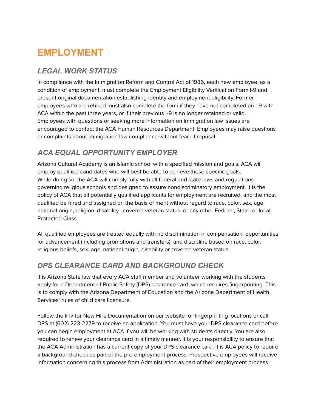# <span id="page-8-0"></span>**EMPLOYMENT**

# <span id="page-8-1"></span>*LEGAL WORK STATUS*

In compliance with the Immigration Reform and Control Act of 1986, each new employee, as a condition of employment, must complete the Employment Eligibility Verification Form I-9 and present original documentation establishing identity and employment eligibility. Former employees who are rehired must also complete the form if they have not completed an I-9 with ACA within the past three years, or if their previous I-9 is no longer retained or valid. Employees with questions or seeking more information on immigration law issues are encouraged to contact the ACA Human Resources Department. Employees may raise questions or complaints about immigration law compliance without fear of reprisal.

# <span id="page-8-2"></span>*ACA EQUAL OPPORTUNITY EMPLOYER*

Arizona Cultural Academy is an Islamic school with a specified mission and goals. ACA will employ qualified candidates who will best be able to achieve these specific goals. While doing so, the ACA will comply fully with all federal and state laws and regulations governing religious schools and designed to assure nondiscriminatory employment. It is the policy of ACA that all potentially qualified applicants for employment are recruited, and the most qualified be hired and assigned on the basis of merit without regard to race, color, sex, age, national origin, religion, disability , covered veteran status, or any other Federal, State, or local Protected Class.

All qualified employees are treated equally with no discrimination in compensation, opportunities for advancement (including promotions and transfers), and discipline based on race, color, religious beliefs, sex, age, national origin, disability or covered veteran status.

# <span id="page-8-3"></span>*DPS CLEARANCE CARD AND BACKGROUND CHECK*

It is Arizona State law that every ACA staff member and volunteer working with the students apply for a Department of Public Safety (DPS) clearance card, which requires fingerprinting. This is to comply with the Arizona Department of Education and the Arizona Department of Health Services' rules of child care licensure.

Follow the link for New Hire Documentation on our website for fingerprinting locations or call DPS at (602) 223-2279 to receive an application. You must have your DPS clearance card before you can begin employment at ACA if you will be working with students directly. You are also required to renew your clearance card in a timely manner. It is your responsibility to ensure that the ACA Administration has a current copy of your DPS clearance card. It is ACA policy to require a background check as part of the pre-employment process. Prospective employees will receive information concerning this process from Administration as part of their employment process.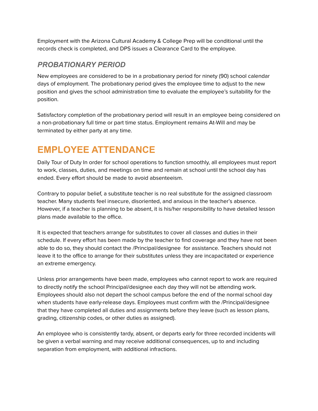Employment with the Arizona Cultural Academy & College Prep will be conditional until the records check is completed, and DPS issues a Clearance Card to the employee.

### <span id="page-9-0"></span>*PROBATIONARY PERIOD*

New employees are considered to be in a probationary period for ninety (90) school calendar days of employment. The probationary period gives the employee time to adjust to the new position and gives the school administration time to evaluate the employee's suitability for the position.

Satisfactory completion of the probationary period will result in an employee being considered on a non-probationary full time or part time status. Employment remains At-Will and may be terminated by either party at any time.

# <span id="page-9-1"></span>**EMPLOYEE ATTENDANCE**

Daily Tour of Duty In order for school operations to function smoothly, all employees must report to work, classes, duties, and meetings on time and remain at school until the school day has ended. Every effort should be made to avoid absenteeism.

Contrary to popular belief, a substitute teacher is no real substitute for the assigned classroom teacher. Many students feel insecure, disoriented, and anxious in the teacher's absence. However, if a teacher is planning to be absent, it is his/her responsibility to have detailed lesson plans made available to the office.

It is expected that teachers arrange for substitutes to cover all classes and duties in their schedule. If every effort has been made by the teacher to find coverage and they have not been able to do so, they should contact the /Principal/designee for assistance. Teachers should not leave it to the office to arrange for their substitutes unless they are incapacitated or experience an extreme emergency.

Unless prior arrangements have been made, employees who cannot report to work are required to directly notify the school Principal/designee each day they will not be attending work. Employees should also not depart the school campus before the end of the normal school day when students have early-release days. Employees must confirm with the /Principal/designee that they have completed all duties and assignments before they leave (such as lesson plans, grading, citizenship codes, or other duties as assigned).

An employee who is consistently tardy, absent, or departs early for three recorded incidents will be given a verbal warning and may receive additional consequences, up to and including separation from employment, with additional infractions.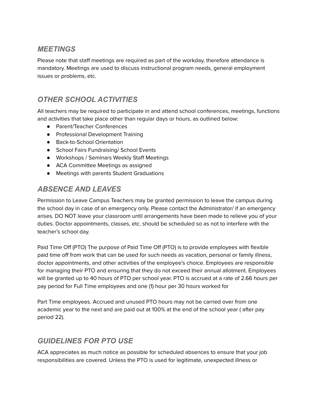### <span id="page-10-0"></span>*MEETINGS*

Please note that staff meetings are required as part of the workday, therefore attendance is mandatory. Meetings are used to discuss instructional program needs, general employment issues or problems, etc.

# <span id="page-10-1"></span>*OTHER SCHOOL ACTIVITIES*

All teachers may be required to participate in and attend school conferences, meetings, functions and activities that take place other than regular days or hours, as outlined below:

- Parent/Teacher Conferences
- Professional Development Training
- Back-to-School Orientation
- School Fairs Fundraising/ School Events
- Workshops / Seminars Weekly Staff Meetings
- ACA Committee Meetings as assigned
- Meetings with parents Student Graduations

## <span id="page-10-2"></span>*ABSENCE AND LEAVES*

Permission to Leave Campus Teachers may be granted permission to leave the campus during the school day in case of an emergency only. Please contact the Administrator/ if an emergency arises. DO NOT leave your classroom until arrangements have been made to relieve you of your duties. Doctor appointments, classes, etc. should be scheduled so as not to interfere with the teacher's school day.

Paid Time Off (PTO) The purpose of Paid Time Off (PTO) is to provide employees with flexible paid time off from work that can be used for such needs as vacation, personal or family illness, doctor appointments, and other activities of the employee's choice. Employees are responsible for managing their PTO and ensuring that they do not exceed their annual allotment. Employees will be granted up to 40 hours of PTO per school year. PTO is accrued at a rate of 2.66 hours per pay period for Full Time employees and one (1) hour per 30 hours worked for

Part Time employees. Accrued and unused PTO hours may not be carried over from one academic year to the next and are paid out at 100% at the end of the school year ( after pay period 22).

### <span id="page-10-3"></span>*GUIDELINES FOR PTO USE*

ACA appreciates as much notice as possible for scheduled absences to ensure that your job responsibilities are covered. Unless the PTO is used for legitimate, unexpected illness or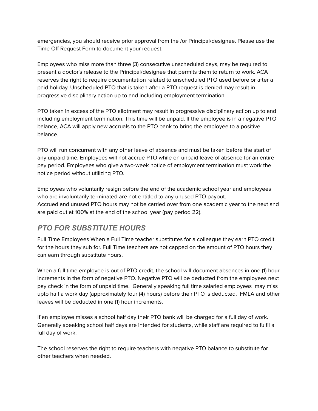emergencies, you should receive prior approval from the /or Principal/designee. Please use the Time Off Request Form to document your request.

Employees who miss more than three (3) consecutive unscheduled days, may be required to present a doctor's release to the Principal/designee that permits them to return to work. ACA reserves the right to require documentation related to unscheduled PTO used before or after a paid holiday. Unscheduled PTO that is taken after a PTO request is denied may result in progressive disciplinary action up to and including employment termination.

PTO taken in excess of the PTO allotment may result in progressive disciplinary action up to and including employment termination. This time will be unpaid. If the employee is in a negative PTO balance, ACA will apply new accruals to the PTO bank to bring the employee to a positive balance.

PTO will run concurrent with any other leave of absence and must be taken before the start of any unpaid time. Employees will not accrue PTO while on unpaid leave of absence for an entire pay period. Employees who give a two-week notice of employment termination must work the notice period without utilizing PTO.

Employees who voluntarily resign before the end of the academic school year and employees who are involuntarily terminated are not entitled to any unused PTO payout. Accrued and unused PTO hours may not be carried over from one academic year to the next and are paid out at 100% at the end of the school year (pay period 22).

# <span id="page-11-0"></span>*PTO FOR SUBSTITUTE HOURS*

Full Time Employees When a Full Time teacher substitutes for a colleague they earn PTO credit for the hours they sub for. Full Time teachers are not capped on the amount of PTO hours they can earn through substitute hours.

When a full time employee is out of PTO credit, the school will document absences in one (1) hour increments in the form of negative PTO. Negative PTO will be deducted from the employees next pay check in the form of unpaid time. Generally speaking full time salaried employees may miss upto half a work day (approximately four (4) hours) before their PTO is deducted. FMLA and other leaves will be deducted in one (1) hour increments.

If an employee misses a school half day their PTO bank will be charged for a full day of work. Generally speaking school half days are intended for students, while staff are required to fulfil a full day of work.

The school reserves the right to require teachers with negative PTO balance to substitute for other teachers when needed.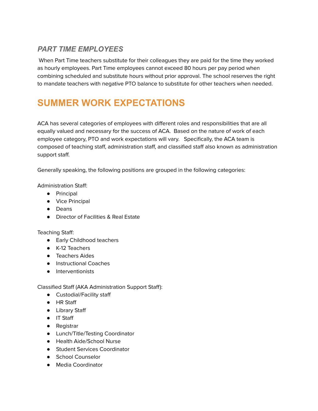## <span id="page-12-0"></span>*PART TIME EMPLOYEES*

When Part Time teachers substitute for their colleagues they are paid for the time they worked as hourly employees. Part Time employees cannot exceed 80 hours per pay period when combining scheduled and substitute hours without prior approval. The school reserves the right to mandate teachers with negative PTO balance to substitute for other teachers when needed.

# <span id="page-12-1"></span>**SUMMER WORK EXPECTATIONS**

ACA has several categories of employees with different roles and responsibilities that are all equally valued and necessary for the success of ACA. Based on the nature of work of each employee category, PTO and work expectations will vary. Specifically, the ACA team is composed of teaching staff, administration staff, and classified staff also known as administration support staff.

Generally speaking, the following positions are grouped in the following categories:

Administration Staff:

- Principal
- Vice Principal
- Deans
- Director of Facilities & Real Estate

Teaching Staff:

- Early Childhood teachers
- K-12 Teachers
- Teachers Aides
- Instructional Coaches
- Interventionists

Classified Staff (AKA Administration Support Staff):

- Custodial/Facility staff
- HR Staff
- Library Staff
- IT Staff
- Registrar
- Lunch/Title/Testing Coordinator
- Health Aide/School Nurse
- Student Services Coordinator
- School Counselor
- Media Coordinator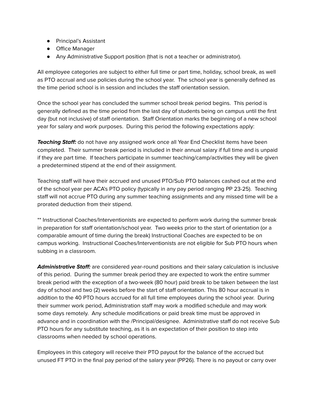- Principal's Assistant
- Office Manager
- Any Administrative Support position (that is not a teacher or administrator).

All employee categories are subject to either full time or part time, holiday, school break, as well as PTO accrual and use policies during the school year. The school year is generally defined as the time period school is in session and includes the staff orientation session.

Once the school year has concluded the summer school break period begins. This period is generally defined as the time period from the last day of students being on campus until the first day (but not inclusive) of staff orientation. Staff Orientation marks the beginning of a new school year for salary and work purposes. During this period the following expectations apply:

**Teaching Staff:** do not have any assigned work once all Year End Checklist items have been completed. Their summer break period is included in their annual salary if full time and is unpaid if they are part time. If teachers participate in summer teaching/camp/activities they will be given a predetermined stipend at the end of their assignment.

Teaching staff will have their accrued and unused PTO/Sub PTO balances cashed out at the end of the school year per ACA's PTO policy (typically in any pay period ranging PP 23-25). Teaching staff will not accrue PTO during any summer teaching assignments and any missed time will be a prorated deduction from their stipend.

\*\* Instructional Coaches/Interventionists are expected to perform work during the summer break in preparation for staff orientation/school year. Two weeks prior to the start of orientation (or a comparable amount of time during the break) Instructional Coaches are expected to be on campus working. Instructional Coaches/Interventionists are not eligible for Sub PTO hours when subbing in a classroom.

**Administrative Staff:** are considered year-round positions and their salary calculation is inclusive of this period. During the summer break period they are expected to work the entire summer break period with the exception of a two-week (80 hour) paid break to be taken between the last day of school and two (2) weeks before the start of staff orientation. This 80 hour accrual is in addition to the 40 PTO hours accrued for all full time employees during the school year. During their summer work period, Administration staff may work a modified schedule and may work some days remotely. Any schedule modifications or paid break time must be approved in advance and in coordination with the /Principal/designee. Administrative staff do not receive Sub PTO hours for any substitute teaching, as it is an expectation of their position to step into classrooms when needed by school operations.

Employees in this category will receive their PTO payout for the balance of the accrued but unused FT PTO in the final pay period of the salary year (PP26). There is no payout or carry over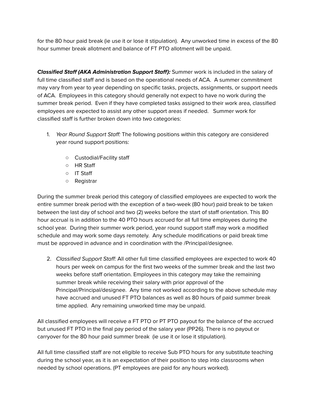for the 80 hour paid break (ie use it or lose it stipulation). Any unworked time in excess of the 80 hour summer break allotment and balance of FT PTO allotment will be unpaid.

**Classified Staff (AKA Administration Support Staff):** Summer work is included in the salary of full time classified staff and is based on the operational needs of ACA. A summer commitment may vary from year to year depending on specific tasks, projects, assignments, or support needs of ACA. Employees in this category should generally not expect to have no work during the summer break period. Even if they have completed tasks assigned to their work area, classified employees are expected to assist any other support areas if needed. Summer work for classified staff is further broken down into two categories:

- 1. Year Round Support Staff: The following positions within this category are considered year round support positions:
	- Custodial/Facility staff
	- HR Staff
	- IT Staff
	- Registrar

During the summer break period this category of classified employees are expected to work the entire summer break period with the exception of a two-week (80 hour) paid break to be taken between the last day of school and two (2) weeks before the start of staff orientation. This 80 hour accrual is in addition to the 40 PTO hours accrued for all full time employees during the school year. During their summer work period, year round support staff may work a modified schedule and may work some days remotely. Any schedule modifications or paid break time must be approved in advance and in coordination with the /Principal/designee.

2. Classified Support Staff: All other full time classified employees are expected to work 40 hours per week on campus for the first two weeks of the summer break and the last two weeks before staff orientation. Employees in this category may take the remaining summer break while receiving their salary with prior approval of the Principal/Principal/designee. Any time not worked according to the above schedule may have accrued and unused FT PTO balances as well as 80 hours of paid summer break time applied. Any remaining unworked time may be unpaid.

All classified employees will receive a FT PTO or PT PTO payout for the balance of the accrued but unused FT PTO in the final pay period of the salary year (PP26). There is no payout or carryover for the 80 hour paid summer break (ie use it or lose it stipulation).

All full time classified staff are not eligible to receive Sub PTO hours for any substitute teaching during the school year, as it is an expectation of their position to step into classrooms when needed by school operations. (PT employees are paid for any hours worked).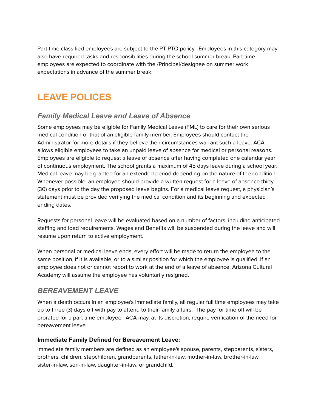Part time classified employees are subject to the PT PTO policy. Employees in this category may also have required tasks and responsibilities during the school summer break. Part time employees are expected to coordinate with the /Principal/designee on summer work expectations in advance of the summer break.

# <span id="page-15-0"></span>**LEAVE POLICES**

### <span id="page-15-1"></span>*Family Medical Leave and Leave of Absence*

Some employees may be eligible for Family Medical Leave (FML) to care for their own serious medical condition or that of an eligible family member. Employees should contact the Administrator for more details if they believe their circumstances warrant such a leave. ACA allows eligible employees to take an unpaid leave of absence for medical or personal reasons. Employees are eligible to request a leave of absence after having completed one calendar year of continuous employment. The school grants a maximum of 45 days leave during a school year. Medical leave may be granted for an extended period depending on the nature of the condition. Whenever possible, an employee should provide a written request for a leave of absence thirty (30) days prior to the day the proposed leave begins. For a medical leave request, a physician's statement must be provided verifying the medical condition and its beginning and expected ending dates.

Requests for personal leave will be evaluated based on a number of factors, including anticipated staffing and load requirements. Wages and Benefits will be suspended during the leave and will resume upon return to active employment.

When personal or medical leave ends, every effort will be made to return the employee to the same position, if it is available, or to a similar position for which the employee is qualified. If an employee does not or cannot report to work at the end of a leave of absence, Arizona Cultural Academy will assume the employee has voluntarily resigned.

### <span id="page-15-2"></span>*BEREAVEMENT LEAVE*

When a death occurs in an employee's immediate family, all regular full time employees may take up to three (3) days off with pay to attend to their family affairs. The pay for time off will be prorated for a part time employee. ACA may, at its discretion, require verification of the need for bereavement leave.

#### <span id="page-15-3"></span>**Immediate Family Defined for Bereavement Leave:**

Immediate family members are defined as an employee's spouse, parents, stepparents, sisters, brothers, children, stepchildren, grandparents, father-in-law, mother-in-law, brother-in-law, sister-in-law, son-in-law, daughter-in-law, or grandchild.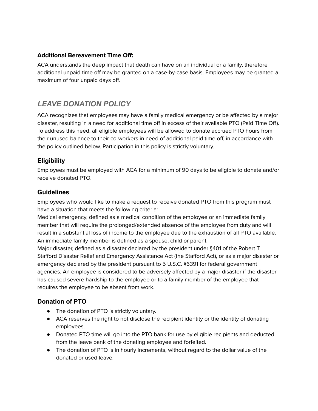#### <span id="page-16-0"></span>**Additional Bereavement Time Off:**

ACA understands the deep impact that death can have on an individual or a family, therefore additional unpaid time off may be granted on a case-by-case basis. Employees may be granted a maximum of four unpaid days off.

### <span id="page-16-1"></span>*LEAVE DONATION POLICY*

ACA recognizes that employees may have a family medical emergency or be affected by a major disaster, resulting in a need for additional time off in excess of their available PTO (Paid Time Off). To address this need, all eligible employees will be allowed to donate accrued PTO hours from their unused balance to their co-workers in need of additional paid time off, in accordance with the policy outlined below. Participation in this policy is strictly voluntary.

#### <span id="page-16-2"></span>**Eligibility**

Employees must be employed with ACA for a minimum of 90 days to be eligible to donate and/or receive donated PTO.

#### <span id="page-16-3"></span>**Guidelines**

Employees who would like to make a request to receive donated PTO from this program must have a situation that meets the following criteria:

Medical emergency, defined as a medical condition of the employee or an immediate family member that will require the prolonged/extended absence of the employee from duty and will result in a substantial loss of income to the employee due to the exhaustion of all PTO available. An immediate family member is defined as a spouse, child or parent.

Major disaster, defined as a disaster declared by the president under §401 of the Robert T. Stafford Disaster Relief and Emergency Assistance Act (the Stafford Act), or as a major disaster or emergency declared by the president pursuant to 5 U.S.C. §6391 for federal government agencies. An employee is considered to be adversely affected by a major disaster if the disaster has caused severe hardship to the employee or to a family member of the employee that requires the employee to be absent from work.

#### <span id="page-16-4"></span>**Donation of PTO**

- The donation of PTO is strictly voluntary.
- ACA reserves the right to not disclose the recipient identity or the identity of donating employees.
- Donated PTO time will go into the PTO bank for use by eligible recipients and deducted from the leave bank of the donating employee and forfeited.
- The donation of PTO is in hourly increments, without regard to the dollar value of the donated or used leave.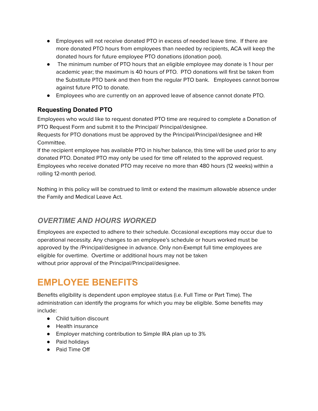- Employees will not receive donated PTO in excess of needed leave time. If there are more donated PTO hours from employees than needed by recipients, ACA will keep the donated hours for future employee PTO donations (donation pool).
- The minimum number of PTO hours that an eligible employee may donate is 1 hour per academic year; the maximum is 40 hours of PTO. PTO donations will first be taken from the Substitute PTO bank and then from the regular PTO bank. Employees cannot borrow against future PTO to donate.
- Employees who are currently on an approved leave of absence cannot donate PTO.

#### <span id="page-17-0"></span>**Requesting Donated PTO**

Employees who would like to request donated PTO time are required to complete a Donation of PTO Request Form and submit it to the Principal/ Principal/designee.

Requests for PTO donations must be approved by the Principal/Principal/designee and HR Committee.

If the recipient employee has available PTO in his/her balance, this time will be used prior to any donated PTO. Donated PTO may only be used for time off related to the approved request. Employees who receive donated PTO may receive no more than 480 hours (12 weeks) within a rolling 12-month period.

Nothing in this policy will be construed to limit or extend the maximum allowable absence under the Family and Medical Leave Act.

### <span id="page-17-1"></span>*OVERTIME AND HOURS WORKED*

Employees are expected to adhere to their schedule. Occasional exceptions may occur due to operational necessity. Any changes to an employee's schedule or hours worked must be approved by the /Principal/designee in advance. Only non-Exempt full time employees are eligible for overtime. Overtime or additional hours may not be taken without prior approval of the Principal/Principal/designee.

# <span id="page-17-2"></span>**EMPLOYEE BENEFITS**

Benefits eligibility is dependent upon employee status (i.e. Full Time or Part Time). The administration can identify the programs for which you may be eligible. Some benefits may include:

- Child tuition discount
- Health insurance
- Employer matching contribution to Simple IRA plan up to 3%
- Paid holidays
- Paid Time Off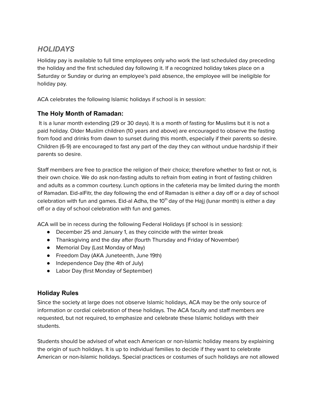## <span id="page-18-0"></span>*HOLIDAYS*

Holiday pay is available to full time employees only who work the last scheduled day preceding the holiday and the first scheduled day following it. If a recognized holiday takes place on a Saturday or Sunday or during an employee's paid absence, the employee will be ineligible for holiday pay.

ACA celebrates the following Islamic holidays if school is in session:

#### <span id="page-18-1"></span>**The Holy Month of Ramadan:**

It is a lunar month extending (29 or 30 days). It is a month of fasting for Muslims but it is not a paid holiday. Older Muslim children (10 years and above) are encouraged to observe the fasting from food and drinks from dawn to sunset during this month, especially if their parents so desire. Children (6-9) are encouraged to fast any part of the day they can without undue hardship if their parents so desire.

Staff members are free to practice the religion of their choice; therefore whether to fast or not, is their own choice. We do ask non-fasting adults to refrain from eating in front of fasting children and adults as a common courtesy. Lunch options in the cafeteria may be limited during the month of Ramadan. Eid-alFitr, the day following the end of Ramadan is either a day off or a day of school celebration with fun and games. Eid-al Adha, the 10<sup>th</sup> day of the Hajj (lunar month) is either a day off or a day of school celebration with fun and games.

ACA will be in recess during the following Federal Holidays (if school is in session):

- December 25 and January 1, as they coincide with the winter break
- Thanksgiving and the day after (fourth Thursday and Friday of November)
- Memorial Day (Last Monday of May)
- Freedom Day (AKA Juneteenth, June 19th)
- Independence Day (the 4th of July)
- Labor Day (first Monday of September)

#### <span id="page-18-2"></span>**Holiday Rules**

Since the society at large does not observe Islamic holidays, ACA may be the only source of information or cordial celebration of these holidays. The ACA faculty and staff members are requested, but not required, to emphasize and celebrate these Islamic holidays with their students.

Students should be advised of what each American or non-Islamic holiday means by explaining the origin of such holidays. It is up to individual families to decide if they want to celebrate American or non-Islamic holidays. Special practices or costumes of such holidays are not allowed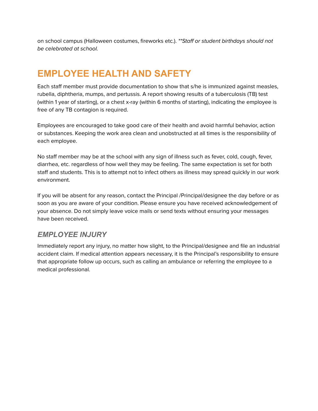on school campus (Halloween costumes, fireworks etc.). \*\*Staff or student birthdays should not be celebrated at school.

# <span id="page-19-0"></span>**EMPLOYEE HEALTH AND SAFETY**

Each staff member must provide documentation to show that s/he is immunized against measles, rubella, diphtheria, mumps, and pertussis. A report showing results of a tuberculosis (TB) test (within 1 year of starting), or a chest x-ray (within 6 months of starting), indicating the employee is free of any TB contagion is required.

Employees are encouraged to take good care of their health and avoid harmful behavior, action or substances. Keeping the work area clean and unobstructed at all times is the responsibility of each employee.

No staff member may be at the school with any sign of illness such as fever, cold, cough, fever, diarrhea, etc. regardless of how well they may be feeling. The same expectation is set for both staff and students. This is to attempt not to infect others as illness may spread quickly in our work environment.

If you will be absent for any reason, contact the Principal /Principal/designee the day before or as soon as you are aware of your condition. Please ensure you have received acknowledgement of your absence. Do not simply leave voice mails or send texts without ensuring your messages have been received.

### <span id="page-19-1"></span>*EMPLOYEE INJURY*

Immediately report any injury, no matter how slight, to the Principal/designee and file an industrial accident claim. If medical attention appears necessary, it is the Principal's responsibility to ensure that appropriate follow up occurs, such as calling an ambulance or referring the employee to a medical professional.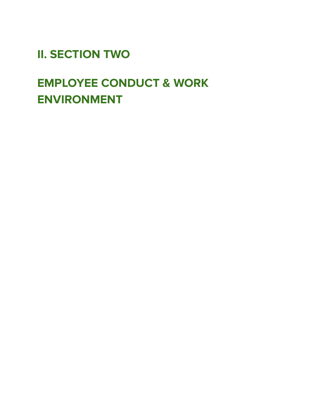<span id="page-20-0"></span>**II. SECTION TWO**

# <span id="page-20-1"></span>**EMPLOYEE CONDUCT & WORK ENVIRONMENT**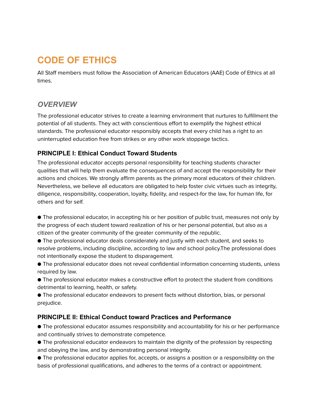# <span id="page-21-0"></span>**CODE OF ETHICS**

All Staff members must follow the Association of American Educators (AAE) Code of Ethics at all times.

### <span id="page-21-1"></span>*OVERVIEW*

The professional educator strives to create a learning environment that nurtures to fulfillment the potential of all students. They act with conscientious effort to exemplify the highest ethical standards. The professional educator responsibly accepts that every child has a right to an uninterrupted education free from strikes or any other work stoppage tactics.

#### <span id="page-21-2"></span>**PRINCIPLE I: Ethical Conduct Toward Students**

The professional educator accepts personal responsibility for teaching students character qualities that will help them evaluate the consequences of and accept the responsibility for their actions and choices. We strongly affirm parents as the primary moral educators of their children. Nevertheless, we believe all educators are obligated to help foster civic virtues such as integrity, diligence, responsibility, cooperation, loyalty, fidelity, and respect-for the law, for human life, for others and for self.

● The professional educator, in accepting his or her position of public trust, measures not only by the progress of each student toward realization of his or her personal potential, but also as a citizen of the greater community of the greater community of the republic.

● The professional educator deals considerately and justly with each student, and seeks to resolve problems, including discipline, according to law and school policy.The professional does not intentionally expose the student to disparagement.

● The professional educator does not reveal confidential information concerning students, unless required by law.

● The professional educator makes a constructive effort to protect the student from conditions detrimental to learning, health, or safety.

● The professional educator endeavors to present facts without distortion, bias, or personal prejudice.

#### <span id="page-21-3"></span>**PRINCIPLE II: Ethical Conduct toward Practices and Performance**

● The professional educator assumes responsibility and accountability for his or her performance and continually strives to demonstrate competence.

● The professional educator endeavors to maintain the dignity of the profession by respecting and obeying the law, and by demonstrating personal integrity.

● The professional educator applies for, accepts, or assigns a position or a responsibility on the basis of professional qualifications, and adheres to the terms of a contract or appointment.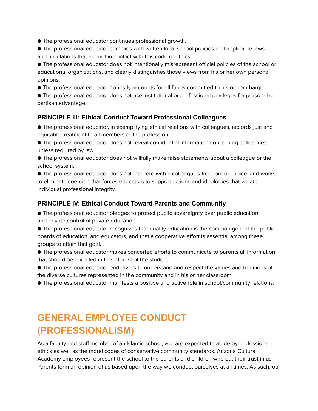- The professional educator continues professional growth.
- The professional educator complies with written local school policies and applicable laws and regulations that are not in conflict with this code of ethics.

● The professional educator does not intentionally misrepresent official policies of the school or educational organizations, and clearly distinguishes those views from his or her own personal opinions.

● The professional educator honestly accounts for all funds committed to his or her charge.

● The professional educator does not use institutional or professional privileges for personal or partisan advantage.

#### <span id="page-22-0"></span>**PRINCIPLE III: Ethical Conduct Toward Professional Colleagues**

● The professional educator, in exemplifying ethical relations with colleagues, accords just and equitable treatment to all members of the profession.

- The professional educator does not reveal confidential information concerning colleagues unless required by law.
- The professional educator does not willfully make false statements about a colleague or the school system.

● The professional educator does not interfere with a colleague's freedom of choice, and works to eliminate coercion that forces educators to support actions and ideologies that violate individual professional integrity.

#### <span id="page-22-1"></span>**PRINCIPLE IV: Ethical Conduct Toward Parents and Community**

- The professional educator pledges to protect public sovereignty over public education and private control of private education
- The professional educator recognizes that quality education is the common goal of the public, boards of education, and educators, and that a cooperative effort is essential among these groups to attain that goal.
- The professional educator makes concerted efforts to communicate to parents all information that should be revealed in the interest of the student.
- The professional educator endeavors to understand and respect the values and traditions of the diverse cultures represented in the community and in his or her classroom.
- The professional educator manifests a positive and active role in school/community relations.

# <span id="page-22-2"></span>**GENERAL EMPLOYEE CONDUCT (PROFESSIONALISM)**

As a faculty and staff member of an Islamic school, you are expected to abide by professional ethics as well as the moral codes of conservative community standards. Arizona Cultural Academy employees represent the school to the parents and children who put their trust in us. Parents form an opinion of us based upon the way we conduct ourselves at all times. As such, our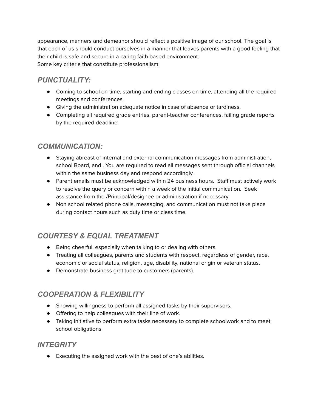appearance, manners and demeanor should reflect a positive image of our school. The goal is that each of us should conduct ourselves in a manner that leaves parents with a good feeling that their child is safe and secure in a caring faith based environment. Some key criteria that constitute professionalism:

### <span id="page-23-0"></span>*PUNCTUALITY:*

- Coming to school on time, starting and ending classes on time, attending all the required meetings and conferences.
- Giving the administration adequate notice in case of absence or tardiness.
- Completing all required grade entries, parent-teacher conferences, failing grade reports by the required deadline.

#### <span id="page-23-1"></span>*COMMUNICATION:*

- Staying abreast of internal and external communication messages from administration, school Board, and . You are required to read all messages sent through official channels within the same business day and respond accordingly.
- Parent emails must be acknowledged within 24 business hours. Staff must actively work to resolve the query or concern within a week of the initial communication. Seek assistance from the /Principal/designee or administration if necessary.
- Non school related phone calls, messaging, and communication must not take place during contact hours such as duty time or class time.

# <span id="page-23-2"></span>*COURTESY & EQUAL TREATMENT*

- Being cheerful, especially when talking to or dealing with others.
- Treating all colleagues, parents and students with respect, regardless of gender, race, economic or social status, religion, age, disability, national origin or veteran status.
- Demonstrate business gratitude to customers (parents).

# <span id="page-23-3"></span>*COOPERATION & FLEXIBILITY*

- Showing willingness to perform all assigned tasks by their supervisors.
- Offering to help colleagues with their line of work.
- Taking initiative to perform extra tasks necessary to complete schoolwork and to meet school obligations

#### <span id="page-23-4"></span>*INTEGRITY*

● Executing the assigned work with the best of one's abilities.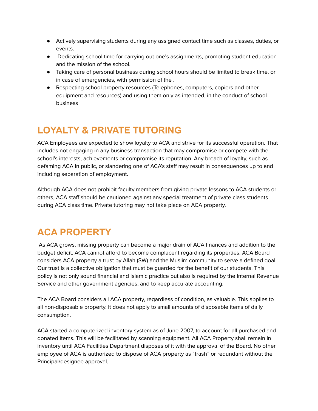- Actively supervising students during any assigned contact time such as classes, duties, or events.
- Dedicating school time for carrying out one's assignments, promoting student education and the mission of the school.
- Taking care of personal business during school hours should be limited to break time, or in case of emergencies, with permission of the .
- Respecting school property resources (Telephones, computers, copiers and other equipment and resources) and using them only as intended, in the conduct of school business

# <span id="page-24-0"></span>**LOYALTY & PRIVATE TUTORING**

ACA Employees are expected to show loyalty to ACA and strive for its successful operation. That includes not engaging in any business transaction that may compromise or compete with the school's interests, achievements or compromise its reputation. Any breach of loyalty, such as defaming ACA in public, or slandering one of ACA's staff may result in consequences up to and including separation of employment.

Although ACA does not prohibit faculty members from giving private lessons to ACA students or others, ACA staff should be cautioned against any special treatment of private class students during ACA class time. Private tutoring may not take place on ACA property.

# <span id="page-24-1"></span>**ACA PROPERTY**

As ACA grows, missing property can become a major drain of ACA finances and addition to the budget deficit. ACA cannot afford to become complacent regarding its properties. ACA Board considers ACA property a trust by Allah (SW) and the Muslim community to serve a defined goal. Our trust is a collective obligation that must be guarded for the benefit of our students. This policy is not only sound financial and Islamic practice but also is required by the Internal Revenue Service and other government agencies, and to keep accurate accounting.

The ACA Board considers all ACA property, regardless of condition, as valuable. This applies to all non-disposable property. It does not apply to small amounts of disposable items of daily consumption.

ACA started a computerized inventory system as of June 2007, to account for all purchased and donated items. This will be facilitated by scanning equipment. All ACA Property shall remain in inventory until ACA Facilities Department disposes of it with the approval of the Board. No other employee of ACA is authorized to dispose of ACA property as "trash" or redundant without the Principal/designee approval.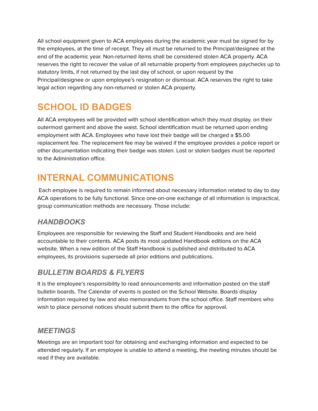All school equipment given to ACA employees during the academic year must be signed for by the employees, at the time of receipt. They all must be returned to the Principal/designee at the end of the academic year. Non-returned items shall be considered stolen ACA property. ACA reserves the right to recover the value of all returnable property from employees paychecks up to statutory limits, if not returned by the last day of school, or upon request by the Principal/designee or upon employee's resignation or dismissal. ACA reserves the right to take legal action regarding any non-returned or stolen ACA property.

# <span id="page-25-0"></span>**SCHOOL ID BADGES**

All ACA employees will be provided with school identification which they must display, on their outermost garment and above the waist. School identification must be returned upon ending employment with ACA. Employees who have lost their badge will be charged a \$5.00 replacement fee. The replacement fee may be waived if the employee provides a police report or other documentation indicating their badge was stolen. Lost or stolen badges must be reported to the Administration office.

# <span id="page-25-1"></span>**INTERNAL COMMUNICATIONS**

Each employee is required to remain informed about necessary information related to day to day ACA operations to be fully functional. Since one-on-one exchange of all information is impractical, group communication methods are necessary. Those include:

# <span id="page-25-2"></span>*HANDBOOKS*

Employees are responsible for reviewing the Staff and Student Handbooks and are held accountable to their contents. ACA posts its most updated Handbook editions on the ACA website. When a new edition of the Staff Handbook is published and distributed to ACA employees, its provisions supersede all prior editions and publications.

### <span id="page-25-3"></span>*BULLETIN BOARDS & FLYERS*

It is the employee's responsibility to read announcements and information posted on the staff bulletin boards. The Calendar of events is posted on the School Website. Boards display information required by law and also memorandums from the school office. Staff members who wish to place personal notices should submit them to the office for approval.

#### <span id="page-25-4"></span>*MEETINGS*

Meetings are an important tool for obtaining and exchanging information and expected to be attended regularly. If an employee is unable to attend a meeting, the meeting minutes should be read if they are available.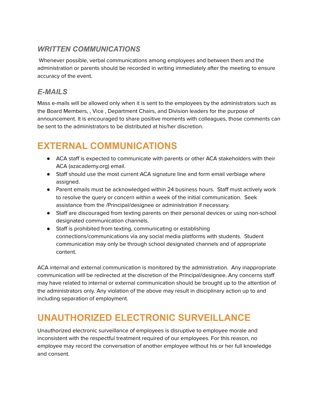## <span id="page-26-0"></span>*WRITTEN COMMUNICATIONS*

Whenever possible, verbal communications among employees and between them and the administration or parents should be recorded in writing immediately after the meeting to ensure accuracy of the event.

## <span id="page-26-1"></span>*E-MAILS*

Mass e-mails will be allowed only when it is sent to the employees by the administrators such as the Board Members, , Vice , Department Chairs, and Division leaders for the purpose of announcement. It is encouraged to share positive moments with colleagues, those comments can be sent to the administrators to be distributed at his/her discretion.

# <span id="page-26-2"></span>**EXTERNAL COMMUNICATIONS**

- ACA staff is expected to communicate with parents or other ACA stakeholders with their ACA (azacademy.org) email.
- Staff should use the most current ACA signature line and form email verbiage where assigned.
- Parent emails must be acknowledged within 24 business hours. Staff must actively work to resolve the query or concern within a week of the initial communication. Seek assistance from the /Principal/designee or administration if necessary.
- Staff are discouraged from texting parents on their personal devices or using non-school designated communication channels.
- Staff is prohibited from texting, communicating or establishing connections/communications via any social media platforms with students. Student communication may only be through school designated channels and of appropriate content.

ACA internal and external communication is monitored by the administration. Any inappropriate communication will be redirected at the discretion of the Principal/designee. Any concerns staff may have related to internal or external communication should be brought up to the attention of the administrators only. Any violation of the above may result in disciplinary action up to and including separation of employment.

# <span id="page-26-3"></span>**UNAUTHORIZED ELECTRONIC SURVEILLANCE**

Unauthorized electronic surveillance of employees is disruptive to employee morale and inconsistent with the respectful treatment required of our employees. For this reason, no employee may record the conversation of another employee without his or her full knowledge and consent.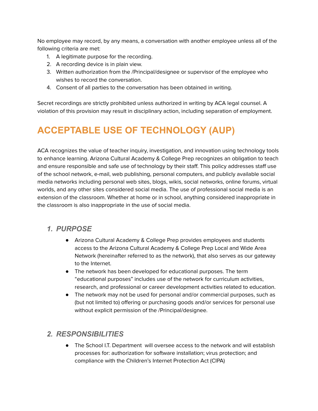No employee may record, by any means, a conversation with another employee unless all of the following criteria are met:

- 1. A legitimate purpose for the recording.
- 2. A recording device is in plain view.
- 3. Written authorization from the /Principal/designee or supervisor of the employee who wishes to record the conversation.
- 4. Consent of all parties to the conversation has been obtained in writing.

Secret recordings are strictly prohibited unless authorized in writing by ACA legal counsel. A violation of this provision may result in disciplinary action, including separation of employment.

# <span id="page-27-0"></span>**ACCEPTABLE USE OF TECHNOLOGY (AUP)**

ACA recognizes the value of teacher inquiry, investigation, and innovation using technology tools to enhance learning. Arizona Cultural Academy & College Prep recognizes an obligation to teach and ensure responsible and safe use of technology by their staff. This policy addresses staff use of the school network, e-mail, web publishing, personal computers, and publicly available social media networks including personal web sites, blogs, wikis, social networks, online forums, virtual worlds, and any other sites considered social media. The use of professional social media is an extension of the classroom. Whether at home or in school, anything considered inappropriate in the classroom is also inappropriate in the use of social media.

#### <span id="page-27-1"></span>*1. PURPOSE*

- Arizona Cultural Academy & College Prep provides employees and students access to the Arizona Cultural Academy & College Prep Local and Wide Area Network (hereinafter referred to as the network), that also serves as our gateway to the Internet.
- The network has been developed for educational purposes. The term "educational purposes" includes use of the network for curriculum activities, research, and professional or career development activities related to education.
- The network may not be used for personal and/or commercial purposes, such as (but not limited to) offering or purchasing goods and/or services for personal use without explicit permission of the /Principal/designee.

#### <span id="page-27-2"></span>*2. RESPONSIBILITIES*

● The School I.T. Department will oversee access to the network and will establish processes for: authorization for software installation; virus protection; and compliance with the Children's Internet Protection Act (CIPA)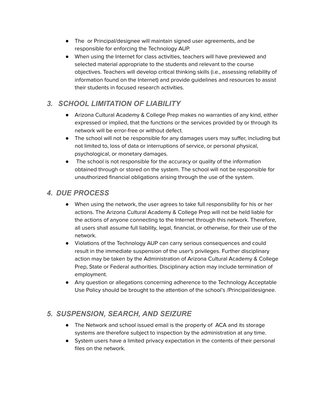- The or Principal/designee will maintain signed user agreements, and be responsible for enforcing the Technology AUP.
- When using the Internet for class activities, teachers will have previewed and selected material appropriate to the students and relevant to the course objectives. Teachers will develop critical thinking skills (i.e., assessing reliability of information found on the Internet) and provide guidelines and resources to assist their students in focused research activities.

# <span id="page-28-0"></span>*3. SCHOOL LIMITATION OF LIABILITY*

- Arizona Cultural Academy & College Prep makes no warranties of any kind, either expressed or implied, that the functions or the services provided by or through its network will be error-free or without defect.
- The school will not be responsible for any damages users may suffer, including but not limited to, loss of data or interruptions of service, or personal physical, psychological, or monetary damages.
- The school is not responsible for the accuracy or quality of the information obtained through or stored on the system. The school will not be responsible for unauthorized financial obligations arising through the use of the system.

# <span id="page-28-1"></span>*4. DUE PROCESS*

- When using the network, the user agrees to take full responsibility for his or her actions. The Arizona Cultural Academy & College Prep will not be held liable for the actions of anyone connecting to the Internet through this network. Therefore, all users shall assume full liability, legal, financial, or otherwise, for their use of the network.
- Violations of the Technology AUP can carry serious consequences and could result in the immediate suspension of the user's privileges. Further disciplinary action may be taken by the Administration of Arizona Cultural Academy & College Prep, State or Federal authorities. Disciplinary action may include termination of employment.
- Any question or allegations concerning adherence to the Technology Acceptable Use Policy should be brought to the attention of the school's /Principal/designee.

### <span id="page-28-2"></span>*5. SUSPENSION, SEARCH, AND SEIZURE*

- The Network and school issued email is the property of ACA and its storage systems are therefore subject to inspection by the administration at any time.
- System users have a limited privacy expectation in the contents of their personal files on the network.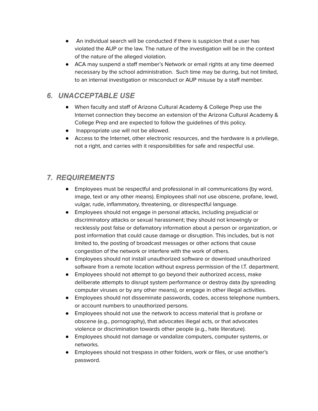- An individual search will be conducted if there is suspicion that a user has violated the AUP or the law. The nature of the investigation will be in the context of the nature of the alleged violation.
- ACA may suspend a staff member's Network or email rights at any time deemed necessary by the school administration. Such time may be during, but not limited, to an internal investigation or misconduct or AUP misuse by a staff member.

### <span id="page-29-0"></span>*6. UNACCEPTABLE USE*

- When faculty and staff of Arizona Cultural Academy & College Prep use the Internet connection they become an extension of the Arizona Cultural Academy & College Prep and are expected to follow the guidelines of this policy.
- Inappropriate use will not be allowed.
- Access to the Internet, other electronic resources, and the hardware is a privilege, not a right, and carries with it responsibilities for safe and respectful use.

## <span id="page-29-1"></span>*7. REQUIREMENTS*

- Employees must be respectful and professional in all communications (by word, image, text or any other means). Employees shall not use obscene, profane, lewd, vulgar, rude, inflammatory, threatening, or disrespectful language.
- Employees should not engage in personal attacks, including prejudicial or discriminatory attacks or sexual harassment; they should not knowingly or recklessly post false or defamatory information about a person or organization, or post information that could cause damage or disruption. This includes, but is not limited to, the posting of broadcast messages or other actions that cause congestion of the network or interfere with the work of others.
- Employees should not install unauthorized software or download unauthorized software from a remote location without express permission of the I.T. department.
- Employees should not attempt to go beyond their authorized access, make deliberate attempts to disrupt system performance or destroy data (by spreading computer viruses or by any other means), or engage in other illegal activities.
- Employees should not disseminate passwords, codes, access telephone numbers, or account numbers to unauthorized persons.
- Employees should not use the network to access material that is profane or obscene (e.g., pornography), that advocates illegal acts, or that advocates violence or discrimination towards other people (e.g., hate literature).
- Employees should not damage or vandalize computers, computer systems, or networks.
- Employees should not trespass in other folders, work or files, or use another's password.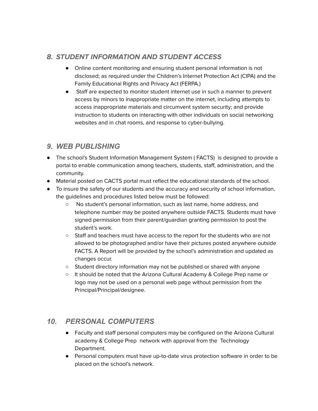#### <span id="page-30-0"></span>**8. STUDENT INFORMATION AND STUDENT ACCESS**

- Online content monitoring and ensuring student personal information is not disclosed; as required under the Children's Internet Protection Act (CIPA) and the Family Educational Rights and Privacy Act (FERPA.)
- Staff are expected to monitor student internet use in such a manner to prevent access by minors to inappropriate matter on the internet, including attempts to access inappropriate materials and circumvent system security; and provide instruction to students on interacting with other individuals on social networking websites and in chat rooms, and response to cyber-bullying.

#### <span id="page-30-1"></span>*9. WEB PUBLISHING*

- The school's Student Information Management System ( FACTS) is designed to provide a portal to enable communication among teachers, students, staff, administration, and the community.
- Material posted on CACTS portal must reflect the educational standards of the school.
- To insure the safety of our students and the accuracy and security of school information, the guidelines and procedures listed below must be followed:
	- No student's personal information, such as last name, home address, and telephone number may be posted anywhere outside FACTS. Students must have signed permission from their parent/guardian granting permission to post the student's work.
	- Staff and teachers must have access to the report for the students who are not allowed to be photographed and/or have their pictures posted anywhere outside FACTS. A Report will be provided by the school's administration and updated as changes occur.
	- Student directory information may not be published or shared with anyone
	- It should be noted that the Arizona Cultural Academy & College Prep name or logo may not be used on a personal web page without permission from the Principal/Principal/designee.

### <span id="page-30-2"></span>*10. PERSONAL COMPUTERS*

- Faculty and staff personal computers may be configured on the Arizona Cultural academy & College Prep network with approval from the Technology Department.
- Personal computers must have up-to-date virus protection software in order to be placed on the school's network.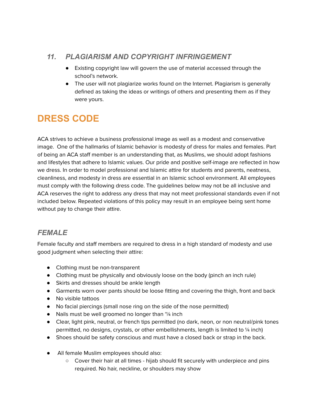### <span id="page-31-0"></span>*11. PLAGIARISM AND COPYRIGHT INFRINGEMENT*

- Existing copyright law will govern the use of material accessed through the school's network.
- The user will not plagiarize works found on the Internet. Plagiarism is generally defined as taking the ideas or writings of others and presenting them as if they were yours.

# <span id="page-31-1"></span>**DRESS CODE**

ACA strives to achieve a business professional image as well as a modest and conservative image. One of the hallmarks of Islamic behavior is modesty of dress for males and females. Part of being an ACA staff member is an understanding that, as Muslims, we should adopt fashions and lifestyles that adhere to Islamic values. Our pride and positive self-image are reflected in how we dress. In order to model professional and Islamic attire for students and parents, neatness, cleanliness, and modesty in dress are essential in an Islamic school environment. All employees must comply with the following dress code. The guidelines below may not be all inclusive and ACA reserves the right to address any dress that may not meet professional standards even if not included below. Repeated violations of this policy may result in an employee being sent home without pay to change their attire.

# <span id="page-31-2"></span>*FEMALE*

Female faculty and staff members are required to dress in a high standard of modesty and use good judgment when selecting their attire:

- Clothing must be non-transparent
- Clothing must be physically and obviously loose on the body (pinch an inch rule)
- Skirts and dresses should be ankle length
- Garments worn over pants should be loose fitting and covering the thigh, front and back
- No visible tattoos
- No facial piercings (small nose ring on the side of the nose permitted)
- Nails must be well groomed no longer than '¼ inch
- Clear, light pink, neutral, or french tips permitted (no dark, neon, or non neutral/pink tones permitted, no designs, crystals, or other embellishments, length is limited to  $\frac{1}{4}$  inch)
- Shoes should be safety conscious and must have a closed back or strap in the back.
- All female Muslim employees should also:
	- Cover their hair at all times hijab should fit securely with underpiece and pins required. No hair, neckline, or shoulders may show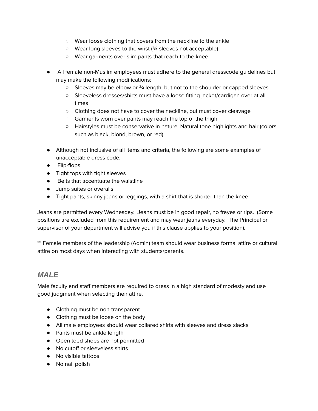- Wear loose clothing that covers from the neckline to the ankle
- Wear long sleeves to the wrist (¾ sleeves not acceptable)
- Wear garments over slim pants that reach to the knee.
- All female non-Muslim employees must adhere to the general dresscode guidelines but may make the following modifications:
	- Sleeves may be elbow or ¾ length, but not to the shoulder or capped sleeves
	- Sleeveless dresses/shirts must have a loose fitting jacket/cardigan over at all times
	- Clothing does not have to cover the neckline, but must cover cleavage
	- Garments worn over pants may reach the top of the thigh
	- Hairstyles must be conservative in nature. Natural tone highlights and hair (colors such as black, blond, brown, or red)
- Although not inclusive of all items and criteria, the following are some examples of unacceptable dress code:
- Flip-flops
- Tight tops with tight sleeves
- Belts that accentuate the waistline
- Jump suites or overalls
- Tight pants, skinny jeans or leggings, with a shirt that is shorter than the knee

Jeans are permitted every Wednesday. Jeans must be in good repair, no frayes or rips. (Some positions are excluded from this requirement and may wear jeans everyday. The Principal or supervisor of your department will advise you if this clause applies to your position).

\*\* Female members of the leadership (Admin) team should wear business formal attire or cultural attire on most days when interacting with students/parents.

#### <span id="page-32-0"></span>*MALE*

Male faculty and staff members are required to dress in a high standard of modesty and use good judgment when selecting their attire.

- Clothing must be non-transparent
- Clothing must be loose on the body
- All male employees should wear collared shirts with sleeves and dress slacks
- Pants must be ankle length
- Open toed shoes are not permitted
- No cutoff or sleeveless shirts
- No visible tattoos
- No nail polish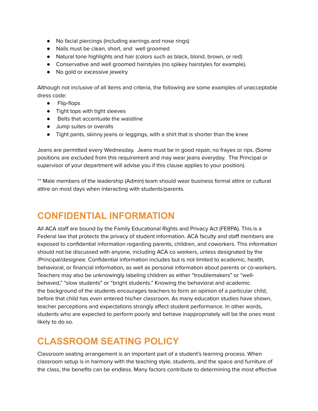- No facial piercings (including earrings and nose rings)
- Nails must be clean, short, and well groomed
- Natural tone highlights and hair (colors such as black, blond, brown, or red)
- Conservative and well groomed hairstyles (no spikey hairstyles for example).
- No gold or excessive jewelry

Although not inclusive of all items and criteria, the following are some examples of unacceptable dress code:

- Flip-flops
- Tight tops with tight sleeves
- Belts that accentuate the waistline
- Jump suites or overalls
- Tight pants, skinny jeans or leggings, with a shirt that is shorter than the knee

Jeans are permitted every Wednesday. Jeans must be in good repair, no frayes or rips. (Some positions are excluded from this requirement and may wear jeans everyday. The Principal or supervisor of your department will advise you if this clause applies to your position).

\*\* Male members of the leadership (Admin) team should wear business formal attire or cultural attire on most days when interacting with students/parents.

# <span id="page-33-0"></span>**CONFIDENTIAL INFORMATION**

All ACA staff are bound by the Family Educational Rights and Privacy Act (FERPA). This is a Federal law that protects the privacy of student information. ACA faculty and staff members are exposed to confidential information regarding parents, children, and coworkers. This information should not be discussed with anyone, including ACA co workers, unless designated by the /Principal/designee. Confidential information includes but is not limited to academic, health, behavioral, or financial information, as well as personal information about parents or co-workers. Teachers may also be unknowingly labeling children as either "troublemakers" or "wellbehaved," "slow students" or "bright students." Knowing the behavioral and academic the background of the students encourages teachers to form an opinion of a particular child, before that child has even entered his/her classroom. As many education studies have shown, teacher perceptions and expectations strongly affect student performance. In other words, students who are expected to perform poorly and behave inappropriately will be the ones most likely to do so.

# <span id="page-33-1"></span>**CLASSROOM SEATING POLICY**

Classroom seating arrangement is an important part of a student's learning process. When classroom setup is in harmony with the teaching style, students, and the space and furniture of the class, the benefits can be endless. Many factors contribute to determining the most effective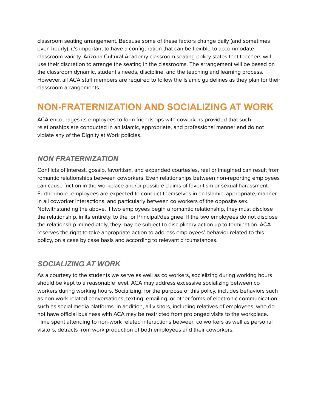classroom seating arrangement. Because some of these factors change daily (and sometimes even hourly), it's important to have a configuration that can be flexible to accommodate classroom variety. Arizona Cultural Academy classroom seating policy states that teachers will use their discretion to arrange the seating in the classrooms. The arrangement will be based on the classroom dynamic, student's needs, discipline, and the teaching and learning process. However, all ACA staff members are required to follow the Islamic guidelines as they plan for their classroom arrangements.

# <span id="page-34-0"></span>**NON-FRATERNIZATION AND SOCIALIZING AT WORK**

ACA encourages its employees to form friendships with coworkers provided that such relationships are conducted in an Islamic, appropriate, and professional manner and do not violate any of the Dignity at Work policies.

### <span id="page-34-1"></span>*NON FRATERNIZATION*

Conflicts of interest, gossip, favoritism, and expanded courtesies, real or imagined can result from romantic relationships between coworkers. Even relationships between non-reporting employees can cause friction in the workplace and/or possible claims of favoritism or sexual harassment. Furthermore, employees are expected to conduct themselves in an Islamic, appropriate, manner in all coworker interactions, and particularly between co workers of the opposite sex. Notwithstanding the above, if two employees begin a romantic relationship, they must disclose the relationship, in its entirety, to the or Principal/designee. If the two employees do not disclose the relationship immediately, they may be subject to disciplinary action up to termination. ACA reserves the right to take appropriate action to address employees' behavior related to this policy, on a case by case basis and according to relevant circumstances.

### <span id="page-34-2"></span>*SOCIALIZING AT WORK*

As a courtesy to the students we serve as well as co workers, socializing during working hours should be kept to a reasonable level. ACA may address excessive socializing between co workers during working hours. Socializing, for the purpose of this policy, includes behaviors such as non-work related conversations, texting, emailing, or other forms of electronic communication such as social media platforms. In addition, all visitors, including relatives of employees, who do not have official business with ACA may be restricted from prolonged visits to the workplace. Time spent attending to non-work related interactions between co workers as well as personal visitors, detracts from work production of both employees and their coworkers.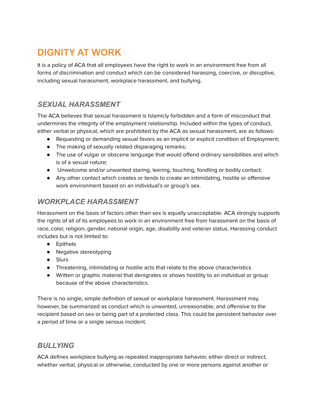# <span id="page-35-0"></span>**DIGNITY AT WORK**

It is a policy of ACA that all employees have the right to work in an environment free from all forms of discrimination and conduct which can be considered harassing, coercive, or disruptive, including sexual harassment, workplace harassment, and bullying.

## <span id="page-35-1"></span>*SEXUAL HARASSMENT*

The ACA believes that sexual harassment is Islamicly forbidden and a form of misconduct that undermines the integrity of the employment relationship. Included within the types of conduct, either verbal or physical, which are prohibited by the ACA as sexual harassment, are as follows:

- Requesting or demanding sexual favors as an implicit or explicit condition of Employment;
- The making of sexually related disparaging remarks;
- The use of vulgar or obscene language that would offend ordinary sensibilities and which is of a sexual nature;
- Unwelcome and/or unwanted staring, leering, touching, fondling or bodily contact;
- Any other contact which creates or tends to create an intimidating, hostile or offensive work environment based on an individual's or group's sex.

## <span id="page-35-2"></span>*WORKPLACE HARASSMENT*

Harassment on the basis of factors other than sex is equally unacceptable. ACA strongly supports the rights of all of its employees to work in an environment free from harassment on the basis of race, color, religion, gender, national origin, age, disability and veteran status. Harassing conduct includes but is not limited to:

- Epithets
- Negative stereotyping
- Slurs
- Threatening, intimidating or hostile acts that relate to the above characteristics
- Written or graphic material that denigrates or shows hostility to an individual or group because of the above characteristics.

There is no single, simple definition of sexual or workplace harassment. Harassment may, however, be summarized as conduct which is unwanted, unreasonable, and offensive to the recipient based on sex or being part of a protected class. This could be persistent behavior over a period of time or a single serious incident.

### <span id="page-35-3"></span>*BULLYING*

ACA defines workplace bullying as repeated inappropriate behavior, either direct or indirect, whether verbal, physical or otherwise, conducted by one or more persons against another or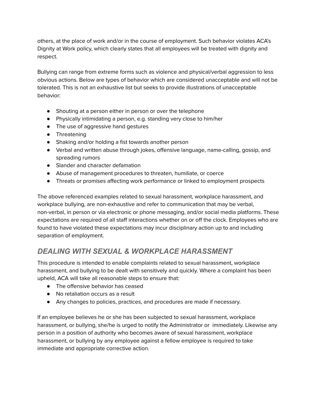others, at the place of work and/or in the course of employment. Such behavior violates ACA's Dignity at Work policy, which clearly states that all employees will be treated with dignity and respect.

Bullying can range from extreme forms such as violence and physical/verbal aggression to less obvious actions. Below are types of behavior which are considered unacceptable and will not be tolerated. This is not an exhaustive list but seeks to provide illustrations of unacceptable behavior:

- Shouting at a person either in person or over the telephone
- Physically intimidating a person, e.g. standing very close to him/her
- The use of aggressive hand gestures
- Threatening
- Shaking and/or holding a fist towards another person
- Verbal and written abuse through jokes, offensive language, name-calling, gossip, and spreading rumors
- Slander and character defamation
- Abuse of management procedures to threaten, humiliate, or coerce
- Threats or promises affecting work performance or linked to employment prospects

The above referenced examples related to sexual harassment, workplace harassment, and workplace bullying, are non-exhaustive and refer to communication that may be verbal, non-verbal, in person or via electronic or phone messaging, and/or social media platforms. These expectations are required of all staff interactions whether on or off the clock. Employees who are found to have violated these expectations may incur disciplinary action up to and including separation of employment.

# <span id="page-36-0"></span>*DEALING WITH SEXUAL & WORKPLACE HARASSMENT*

This procedure is intended to enable complaints related to sexual harassment, workplace harassment, and bullying to be dealt with sensitively and quickly. Where a complaint has been upheld, ACA will take all reasonable steps to ensure that:

- The offensive behavior has ceased
- No retaliation occurs as a result
- Any changes to policies, practices, and procedures are made if necessary.

If an employee believes he or she has been subjected to sexual harassment, workplace harassment, or bullying, she/he is urged to notify the Administrator or immediately. Likewise any person in a position of authority who becomes aware of sexual harassment, workplace harassment, or bullying by any employee against a fellow employee is required to take immediate and appropriate corrective action.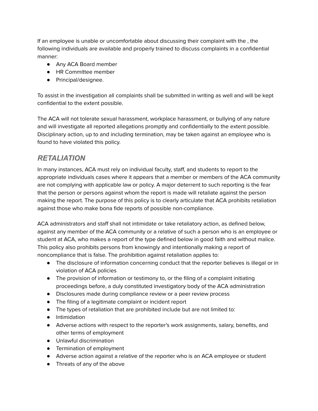If an employee is unable or uncomfortable about discussing their complaint with the , the following individuals are available and properly trained to discuss complaints in a confidential manner:

- Any ACA Board member
- HR Committee member
- Principal/designee.

To assist in the investigation all complaints shall be submitted in writing as well and will be kept confidential to the extent possible.

The ACA will not tolerate sexual harassment, workplace harassment, or bullying of any nature and will investigate all reported allegations promptly and confidentially to the extent possible. Disciplinary action, up to and including termination, may be taken against an employee who is found to have violated this policy.

#### <span id="page-37-0"></span>*RETALIATION*

In many instances, ACA must rely on individual faculty, staff, and students to report to the appropriate individuals cases where it appears that a member or members of the ACA community are not complying with applicable law or policy. A major deterrent to such reporting is the fear that the person or persons against whom the report is made will retaliate against the person making the report. The purpose of this policy is to clearly articulate that ACA prohibits retaliation against those who make bona fide reports of possible non-compliance.

ACA administrators and staff shall not intimidate or take retaliatory action, as defined below, against any member of the ACA community or a relative of such a person who is an employee or student at ACA, who makes a report of the type defined below in good faith and without malice. This policy also prohibits persons from knowingly and intentionally making a report of noncompliance that is false. The prohibition against retaliation applies to:

- The disclosure of information concerning conduct that the reporter believes is illegal or in violation of ACA policies
- The provision of information or testimony to, or the filing of a complaint initiating proceedings before, a duly constituted investigatory body of the ACA administration
- Disclosures made during compliance review or a peer review process
- The filing of a legitimate complaint or incident report
- The types of retaliation that are prohibited include but are not limited to:
- Intimidation
- Adverse actions with respect to the reporter's work assignments, salary, benefits, and other terms of employment
- Unlawful discrimination
- Termination of employment
- Adverse action against a relative of the reporter who is an ACA employee or student
- Threats of any of the above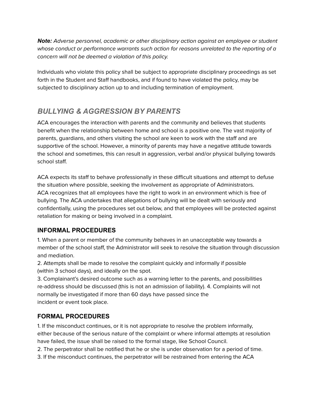*Note:* Adverse personnel, academic or other disciplinary action against an employee or student whose conduct or performance warrants such action for reasons unrelated to the reporting of a concern will not be deemed a violation of this policy.

Individuals who violate this policy shall be subject to appropriate disciplinary proceedings as set forth in the Student and Staff handbooks, and if found to have violated the policy, may be subjected to disciplinary action up to and including termination of employment.

# <span id="page-38-0"></span>*BULLYING & AGGRESSION BY PARENTS*

ACA encourages the interaction with parents and the community and believes that students benefit when the relationship between home and school is a positive one. The vast majority of parents, guardians, and others visiting the school are keen to work with the staff and are supportive of the school. However, a minority of parents may have a negative attitude towards the school and sometimes, this can result in aggression, verbal and/or physical bullying towards school staff.

ACA expects its staff to behave professionally in these difficult situations and attempt to defuse the situation where possible, seeking the involvement as appropriate of Administrators. ACA recognizes that all employees have the right to work in an environment which is free of bullying. The ACA undertakes that allegations of bullying will be dealt with seriously and confidentially, using the procedures set out below, and that employees will be protected against retaliation for making or being involved in a complaint.

#### <span id="page-38-1"></span>**INFORMAL PROCEDURES**

1. When a parent or member of the community behaves in an unacceptable way towards a member of the school staff, the Administrator will seek to resolve the situation through discussion and mediation.

2. Attempts shall be made to resolve the complaint quickly and informally if possible (within 3 school days), and ideally on the spot.

3. Complainant's desired outcome such as a warning letter to the parents, and possibilities re-address should be discussed (this is not an admission of liability). 4. Complaints will not normally be investigated if more than 60 days have passed since the incident or event took place.

#### <span id="page-38-2"></span>**FORMAL PROCEDURES**

1. If the misconduct continues, or it is not appropriate to resolve the problem informally, either because of the serious nature of the complaint or where informal attempts at resolution have failed, the issue shall be raised to the formal stage, like School Council.

2. The perpetrator shall be notified that he or she is under observation for a period of time.

3. If the misconduct continues, the perpetrator will be restrained from entering the ACA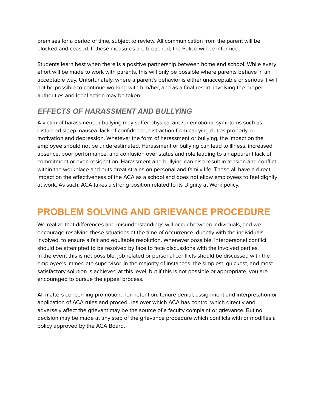premises for a period of time, subject to review. All communication from the parent will be blocked and ceased. If these measures are breached, the Police will be informed.

Students learn best when there is a positive partnership between home and school. While every effort will be made to work with parents, this will only be possible where parents behave in an acceptable way. Unfortunately, where a parent's behavior is either unacceptable or serious it will not be possible to continue working with him/her, and as a final resort, involving the proper authorities and legal action may be taken.

### <span id="page-39-0"></span>*EFFECTS OF HARASSMENT AND BULLYING*

A victim of harassment or bullying may suffer physical and/or emotional symptoms such as disturbed sleep, nausea, lack of confidence, distraction from carrying duties properly, or motivation and depression. Whatever the form of harassment or bullying, the impact on the employee should not be underestimated. Harassment or bullying can lead to illness, increased absence, poor performance, and confusion over status and role leading to an apparent lack of commitment or even resignation. Harassment and bullying can also result in tension and conflict within the workplace and puts great strains on personal and family life. These all have a direct impact on the effectiveness of the ACA as a school and does not allow employees to feel dignity at work. As such, ACA takes a strong position related to its Dignity at Work policy.

# <span id="page-39-1"></span>**PROBLEM SOLVING AND GRIEVANCE PROCEDURE**

We realize that differences and misunderstandings will occur between individuals, and we encourage resolving these situations at the time of occurrence, directly with the individuals involved, to ensure a fair and equitable resolution. Whenever possible, interpersonal conflict should be attempted to be resolved by face to face discussions with the involved parties. In the event this is not possible, job related or personal conflicts should be discussed with the employee's immediate supervisor. In the majority of instances, the simplest, quickest, and most satisfactory solution is achieved at this level, but if this is not possible or appropriate, you are encouraged to pursue the appeal process.

All matters concerning promotion, non-retention, tenure denial, assignment and interpretation or application of ACA rules and procedures over which ACA has control which directly and adversely affect the grievant may be the source of a faculty complaint or grievance. But no decision may be made at any step of the grievance procedure which conflicts with or modifies a policy approved by the ACA Board.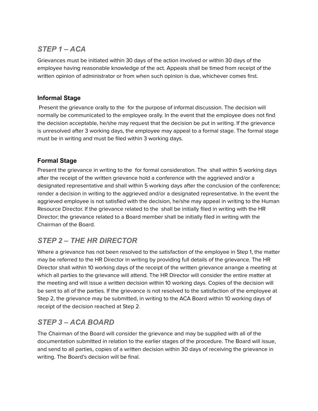## <span id="page-40-0"></span>*STEP 1 – ACA*

Grievances must be initiated within 30 days of the action involved or within 30 days of the employee having reasonable knowledge of the act. Appeals shall be timed from receipt of the written opinion of administrator or from when such opinion is due, whichever comes first.

#### <span id="page-40-1"></span>**Informal Stage**

Present the grievance orally to the for the purpose of informal discussion. The decision will normally be communicated to the employee orally. In the event that the employee does not find the decision acceptable, he/she may request that the decision be put in writing. If the grievance is unresolved after 3 working days, the employee may appeal to a formal stage. The formal stage must be in writing and must be filed within 3 working days.

#### <span id="page-40-2"></span>**Formal Stage**

Present the grievance in writing to the for formal consideration. The shall within 5 working days after the receipt of the written grievance hold a conference with the aggrieved and/or a designated representative and shall within 5 working days after the conclusion of the conference; render a decision in writing to the aggrieved and/or a designated representative. In the event the aggrieved employee is not satisfied with the decision, he/she may appeal in writing to the Human Resource Director. If the grievance related to the shall be initially filed in writing with the HR Director; the grievance related to a Board member shall be initially filed in writing with the Chairman of the Board.

# <span id="page-40-3"></span>*STEP 2 – THE HR DIRECTOR*

Where a grievance has not been resolved to the satisfaction of the employee in Step 1, the matter may be referred to the HR Director in writing by providing full details of the grievance. The HR Director shall within 10 working days of the receipt of the written grievance arrange a meeting at which all parties to the grievance will attend. The HR Director will consider the entire matter at the meeting and will issue a written decision within 10 working days. Copies of the decision will be sent to all of the parties. If the grievance is not resolved to the satisfaction of the employee at Step 2, the grievance may be submitted, in writing to the ACA Board within 10 working days of receipt of the decision reached at Step 2.

### <span id="page-40-4"></span>*STEP 3 – ACA BOARD*

The Chairman of the Board will consider the grievance and may be supplied with all of the documentation submitted in relation to the earlier stages of the procedure. The Board will issue, and send to all parties, copies of a written decision within 30 days of receiving the grievance in writing. The Board's decision will be final.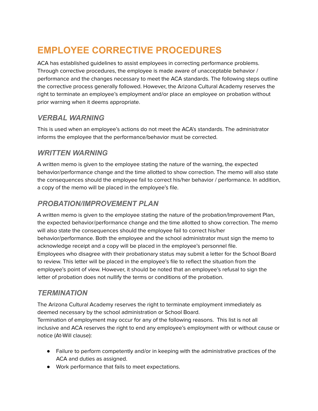# <span id="page-41-0"></span>**EMPLOYEE CORRECTIVE PROCEDURES**

ACA has established guidelines to assist employees in correcting performance problems. Through corrective procedures, the employee is made aware of unacceptable behavior / performance and the changes necessary to meet the ACA standards. The following steps outline the corrective process generally followed. However, the Arizona Cultural Academy reserves the right to terminate an employee's employment and/or place an employee on probation without prior warning when it deems appropriate.

## <span id="page-41-1"></span>*VERBAL WARNING*

This is used when an employee's actions do not meet the ACA's standards. The administrator informs the employee that the performance/behavior must be corrected.

### <span id="page-41-2"></span>*WRITTEN WARNING*

A written memo is given to the employee stating the nature of the warning, the expected behavior/performance change and the time allotted to show correction. The memo will also state the consequences should the employee fail to correct his/her behavior / performance. In addition, a copy of the memo will be placed in the employee's file.

## <span id="page-41-3"></span>*PROBATION/IMPROVEMENT PLAN*

A written memo is given to the employee stating the nature of the probation/Improvement Plan, the expected behavior/performance change and the time allotted to show correction. The memo will also state the consequences should the employee fail to correct his/her behavior/performance. Both the employee and the school administrator must sign the memo to acknowledge receipt and a copy will be placed in the employee's personnel file. Employees who disagree with their probationary status may submit a letter for the School Board to review. This letter will be placed in the employee's file to reflect the situation from the employee's point of view. However, it should be noted that an employee's refusal to sign the letter of probation does not nullify the terms or conditions of the probation.

### <span id="page-41-4"></span>*TERMINATION*

The Arizona Cultural Academy reserves the right to terminate employment immediately as deemed necessary by the school administration or School Board.

Termination of employment may occur for any of the following reasons. This list is not all inclusive and ACA reserves the right to end any employee's employment with or without cause or notice (At-Will clause):

- Failure to perform competently and/or in keeping with the administrative practices of the ACA and duties as assigned.
- Work performance that fails to meet expectations.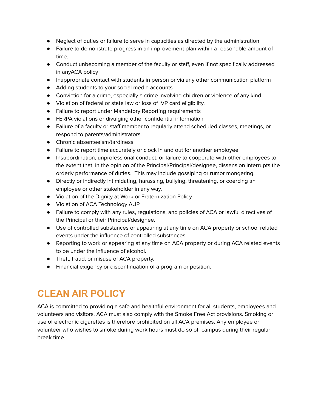- Neglect of duties or failure to serve in capacities as directed by the administration
- Failure to demonstrate progress in an improvement plan within a reasonable amount of time.
- Conduct unbecoming a member of the faculty or staff, even if not specifically addressed in anyACA policy
- Inappropriate contact with students in person or via any other communication platform
- Adding students to your social media accounts
- Conviction for a crime, especially a crime involving children or violence of any kind
- Violation of federal or state law or loss of IVP card eligibility.
- Failure to report under Mandatory Reporting requirements
- FERPA violations or divulging other confidential information
- Failure of a faculty or staff member to regularly attend scheduled classes, meetings, or respond to parents/administrators.
- Chronic absenteeism/tardiness
- Failure to report time accurately or clock in and out for another employee
- Insubordination, unprofessional conduct, or failure to cooperate with other employees to the extent that, in the opinion of the Principal/Principal/designee, dissension interrupts the orderly performance of duties. This may include gossiping or rumor mongering.
- Directly or indirectly intimidating, harassing, bullying, threatening, or coercing an employee or other stakeholder in any way.
- Violation of the Dignity at Work or Fraternization Policy
- Violation of ACA Technology AUP
- Failure to comply with any rules, regulations, and policies of ACA or lawful directives of the Principal or their Principal/designee.
- Use of controlled substances or appearing at any time on ACA property or school related events under the influence of controlled substances.
- Reporting to work or appearing at any time on ACA property or during ACA related events to be under the influence of alcohol.
- Theft, fraud, or misuse of ACA property.
- Financial exigency or discontinuation of a program or position.

# <span id="page-42-0"></span>**CLEAN AIR POLICY**

ACA is committed to providing a safe and healthful environment for all students, employees and volunteers and visitors. ACA must also comply with the Smoke Free Act provisions. Smoking or use of electronic cigarettes is therefore prohibited on all ACA premises. Any employee or volunteer who wishes to smoke during work hours must do so off campus during their regular break time.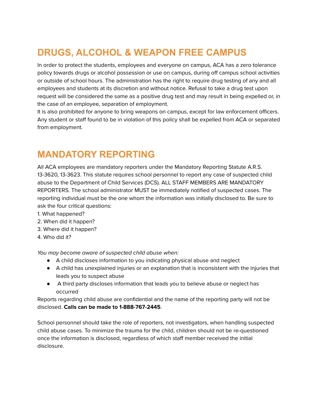# <span id="page-43-0"></span>**DRUGS, ALCOHOL & WEAPON FREE CAMPUS**

In order to protect the students, employees and everyone on campus, ACA has a zero tolerance policy towards drugs or alcohol possession or use on campus, during off campus school activities or outside of school hours. The administration has the right to require drug testing of any and all employees and students at its discretion and without notice. Refusal to take a drug test upon request will be considered the same as a positive drug test and may result in being expelled or, in the case of an employee, separation of employment.

It is also prohibited for anyone to bring weapons on campus, except for law enforcement officers. Any student or staff found to be in violation of this policy shall be expelled from ACA or separated from employment.

# <span id="page-43-1"></span>**MANDATORY REPORTING**

All ACA employees are mandatory reporters under the Mandatory Reporting Statute A.R.S. 13-3620, 13-3623. This statute requires school personnel to report any case of suspected child abuse to the Department of Child Services (DCS). ALL STAFF MEMBERS ARE MANDATORY REPORTERS. The school administrator MUST be immediately notified of suspected cases. The reporting individual must be the one whom the information was initially disclosed to. Be sure to ask the four critical questions:

- 1. What happened?
- 2. When did it happen?
- 3. Where did it happen?
- 4. Who did it?

You may become aware of suspected child abuse when:

- A child discloses information to you indicating physical abuse and neglect
- A child has unexplained injuries or an explanation that is inconsistent with the injuries that leads you to suspect abuse
- A third party discloses information that leads you to believe abuse or neglect has occurred

Reports regarding child abuse are confidential and the name of the reporting party will not be disclosed. **Calls can be made to 1-888-767-2445**.

School personnel should take the role of reporters, not investigators, when handling suspected child abuse cases. To minimize the trauma for the child, children should not be re-questioned once the information is disclosed, regardless of which staff member received the initial disclosure.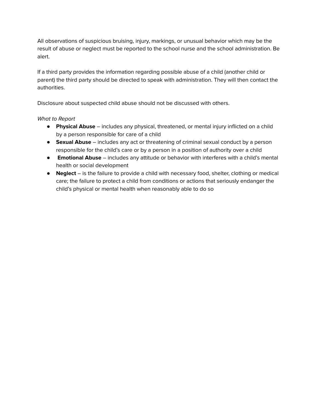All observations of suspicious bruising, injury, markings, or unusual behavior which may be the result of abuse or neglect must be reported to the school nurse and the school administration. Be alert.

If a third party provides the information regarding possible abuse of a child (another child or parent) the third party should be directed to speak with administration. They will then contact the authorities.

Disclosure about suspected child abuse should not be discussed with others.

#### What to Report

- **Physical Abuse** includes any physical, threatened, or mental injury inflicted on a child by a person responsible for care of a child
- **Sexual Abuse** includes any act or threatening of criminal sexual conduct by a person responsible for the child's care or by a person in a position of authority over a child
- **Emotional Abuse** includes any attitude or behavior with interferes with a child's mental health or social development
- **Neglect** is the failure to provide a child with necessary food, shelter, clothing or medical care; the failure to protect a child from conditions or actions that seriously endanger the child's physical or mental health when reasonably able to do so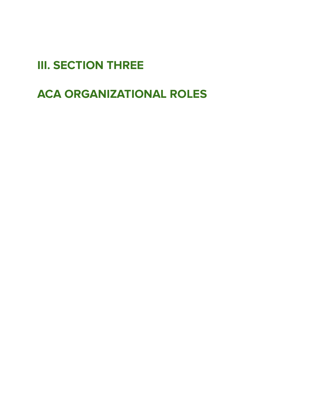<span id="page-45-0"></span>**III. SECTION THREE**

<span id="page-45-1"></span>**ACA ORGANIZATIONAL ROLES**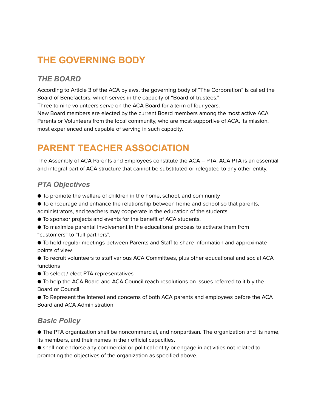# <span id="page-46-0"></span>**THE GOVERNING BODY**

### <span id="page-46-1"></span>*THE BOARD*

According to Article 3 of the ACA bylaws, the governing body of "The Corporation" is called the Board of Benefactors, which serves in the capacity of "Board of trustees."

Three to nine volunteers serve on the ACA Board for a term of four years.

New Board members are elected by the current Board members among the most active ACA Parents or Volunteers from the local community, who are most supportive of ACA, its mission, most experienced and capable of serving in such capacity.

# <span id="page-46-2"></span>**PARENT TEACHER ASSOCIATION**

The Assembly of ACA Parents and Employees constitute the ACA – PTA. ACA PTA is an essential and integral part of ACA structure that cannot be substituted or relegated to any other entity.

## <span id="page-46-3"></span>*PTA Objectives*

- To promote the welfare of children in the home, school, and community
- To encourage and enhance the relationship between home and school so that parents,
- administrators, and teachers may cooperate in the education of the students.
- To sponsor projects and events for the benefit of ACA students.
- To maximize parental involvement in the educational process to activate them from "customers" to "full partners".
- To hold regular meetings between Parents and Staff to share information and approximate points of view
- To recruit volunteers to staff various ACA Committees, plus other educational and social ACA functions
- To select / elect PTA representatives
- To help the ACA Board and ACA Council reach resolutions on issues referred to it b y the Board or Council
- To Represent the interest and concerns of both ACA parents and employees before the ACA Board and ACA Administration

#### <span id="page-46-4"></span>*Basic Policy*

● The PTA organization shall be noncommercial, and nonpartisan. The organization and its name, its members, and their names in their official capacities,

● shall not endorse any commercial or political entity or engage in activities not related to promoting the objectives of the organization as specified above.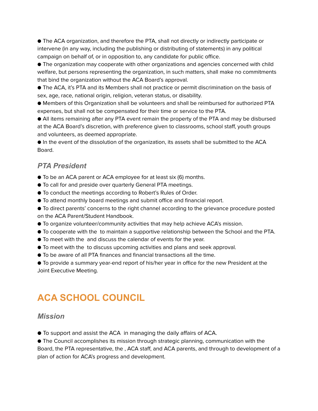● The ACA organization, and therefore the PTA, shall not directly or indirectly participate or intervene (in any way, including the publishing or distributing of statements) in any political campaign on behalf of, or in opposition to, any candidate for public office.

● The organization may cooperate with other organizations and agencies concerned with child welfare, but persons representing the organization, in such matters, shall make no commitments that bind the organization without the ACA Board's approval.

● The ACA, it's PTA and its Members shall not practice or permit discrimination on the basis of sex, age, race, national origin, religion, veteran status, or disability.

● Members of this Organization shall be volunteers and shall be reimbursed for authorized PTA expenses, but shall not be compensated for their time or service to the PTA.

● All items remaining after any PTA event remain the property of the PTA and may be disbursed at the ACA Board's discretion, with preference given to classrooms, school staff, youth groups and volunteers, as deemed appropriate.

● In the event of the dissolution of the organization, its assets shall be submitted to the ACA Board.

#### <span id="page-47-0"></span>*PTA President*

- To be an ACA parent or ACA employee for at least six (6) months.
- To call for and preside over quarterly General PTA meetings.
- To conduct the meetings according to Robert's Rules of Order.
- To attend monthly board meetings and submit office and financial report.
- To direct parents' concerns to the right channel according to the grievance procedure posted on the ACA Parent/Student Handbook.
- To organize volunteer/community activities that may help achieve ACA's mission.
- To cooperate with the to maintain a supportive relationship between the School and the PTA.
- To meet with the and discuss the calendar of events for the year.
- To meet with the to discuss upcoming activities and plans and seek approval.
- To be aware of all PTA finances and financial transactions all the time.
- To provide a summary year-end report of his/her year in office for the new President at the Joint Executive Meeting.

# <span id="page-47-1"></span>**ACA SCHOOL COUNCIL**

#### <span id="page-47-2"></span>*Mission*

● To support and assist the ACA in managing the daily affairs of ACA.

● The Council accomplishes its mission through strategic planning, communication with the Board, the PTA representative, the , ACA staff, and ACA parents, and through to development of a plan of action for ACA's progress and development.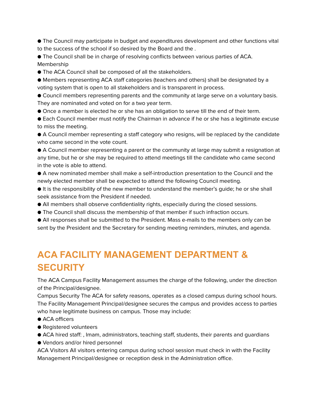● The Council may participate in budget and expenditures development and other functions vital to the success of the school if so desired by the Board and the .

● The Council shall be in charge of resolving conflicts between various parties of ACA. Membership

● The ACA Council shall be composed of all the stakeholders.

● Members representing ACA staff categories (teachers and others) shall be designated by a voting system that is open to all stakeholders and is transparent in process.

● Council members representing parents and the community at large serve on a voluntary basis. They are nominated and voted on for a two year term.

● Once a member is elected he or she has an obligation to serve till the end of their term.

● Each Council member must notify the Chairman in advance if he or she has a legitimate excuse to miss the meeting.

● A Council member representing a staff category who resigns, will be replaced by the candidate who came second in the vote count.

● A Council member representing a parent or the community at large may submit a resignation at any time, but he or she may be required to attend meetings till the candidate who came second in the vote is able to attend.

● A new nominated member shall make a self-introduction presentation to the Council and the newly elected member shall be expected to attend the following Council meeting.

● It is the responsibility of the new member to understand the member's guide; he or she shall seek assistance from the President if needed.

- All members shall observe confidentiality rights, especially during the closed sessions.
- The Council shall discuss the membership of that member if such infraction occurs.

● All responses shall be submitted to the President. Mass e-mails to the members only can be sent by the President and the Secretary for sending meeting reminders, minutes, and agenda.

# <span id="page-48-0"></span>**ACA FACILITY MANAGEMENT DEPARTMENT & SECURITY**

The ACA Campus Facility Management assumes the charge of the following, under the direction of the Principal/designee.

Campus Security The ACA for safety reasons, operates as a closed campus during school hours. The Facility Management Principal/designee secures the campus and provides access to parties who have legitimate business on campus. Those may include:

- ACA officers
- Registered volunteers
- ACA hired staff: , Imam, administrators, teaching staff, students, their parents and guardians
- Vendors and/or hired personnel

ACA Visitors All visitors entering campus during school session must check in with the Facility Management Principal/designee or reception desk in the Administration office.